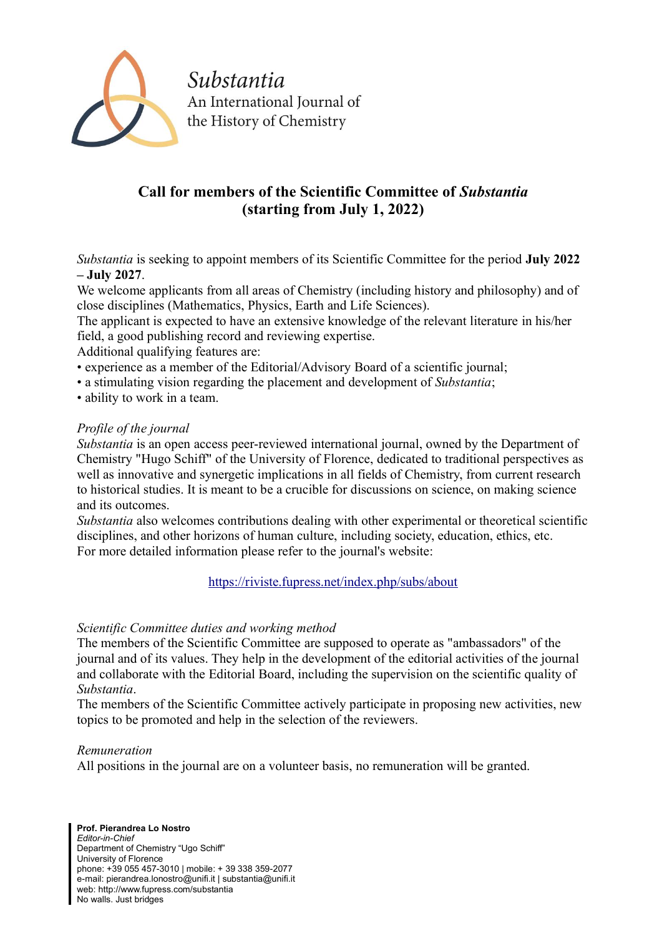

Substantia An International Journal of the History of Chemistry

## **Call for members of the Scientific Committee of** *Substantia* **(starting from July 1, 2022)**

*Substantia* is seeking to appoint members of its Scientific Committee for the period **July 2022 – July 2027**.

We welcome applicants from all areas of Chemistry (including history and philosophy) and of close disciplines (Mathematics, Physics, Earth and Life Sciences).

The applicant is expected to have an extensive knowledge of the relevant literature in his/her field, a good publishing record and reviewing expertise.

Additional qualifying features are:

- experience as a member of the Editorial/Advisory Board of a scientific journal;
- a stimulating vision regarding the placement and development of *Substantia*;
- ability to work in a team.

## *Profile of the journal*

*Substantia* is an open access peer-reviewed international journal, owned by the Department of Chemistry "Hugo Schiff" of the University of Florence, dedicated to traditional perspectives as well as innovative and synergetic implications in all fields of Chemistry, from current research to historical studies. It is meant to be a crucible for discussions on science, on making science and its outcomes.

*Substantia* also welcomes contributions dealing with other experimental or theoretical scientific disciplines, and other horizons of human culture, including society, education, ethics, etc. For more detailed information please refer to the journal's website:

<https://riviste.fupress.net/index.php/subs/about>

## *Scientific Committee duties and working method*

The members of the Scientific Committee are supposed to operate as "ambassadors" of the journal and of its values. They help in the development of the editorial activities of the journal and collaborate with the Editorial Board, including the supervision on the scientific quality of *Substantia*.

The members of the Scientific Committee actively participate in proposing new activities, new topics to be promoted and help in the selection of the reviewers.

## *Remuneration*

All positions in the journal are on a volunteer basis, no remuneration will be granted.

**Prof. Pierandrea Lo Nostro** *Editor-in-Chief* Department of Chemistry "Ugo Schiff" University of Florence phone: +39 055 457-3010 | mobile: + 39 338 359-2077 e-mail: pierandrea.lonostro@unifi.it | substantia@unifi.it web: http://www.fupress.com/substantia No walls. Just bridges